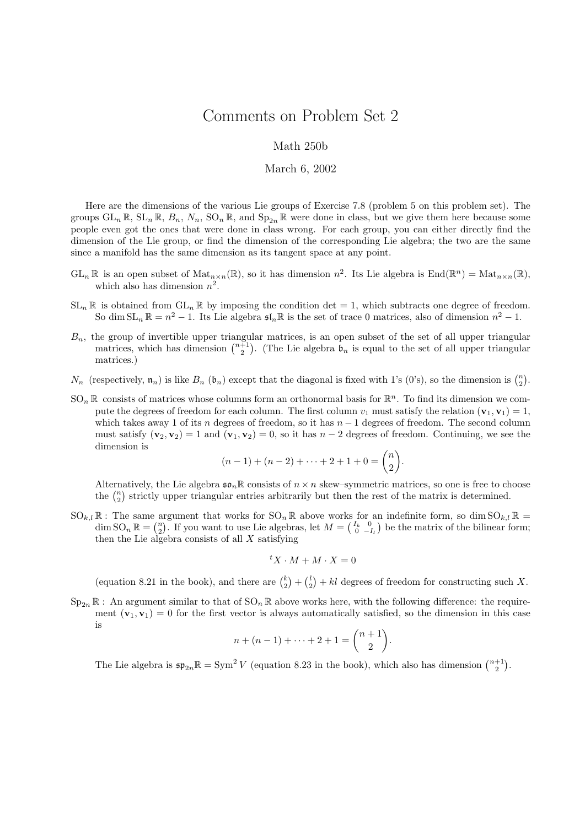## Comments on Problem Set 2

## Math 250b

## March 6, 2002

Here are the dimensions of the various Lie groups of Exercise 7.8 (problem 5 on this problem set). The groups  $GL_n \mathbb{R}$ ,  $SL_n \mathbb{R}$ ,  $B_n$ ,  $N_n$ ,  $SO_n \mathbb{R}$ , and  $Sp_{2n} \mathbb{R}$  were done in class, but we give them here because some people even got the ones that were done in class wrong. For each group, you can either directly find the dimension of the Lie group, or find the dimension of the corresponding Lie algebra; the two are the same since a manifold has the same dimension as its tangent space at any point.

- $GL_n \mathbb{R}$  is an open subset of  $\text{Mat}_{n\times n}(\mathbb{R})$ , so it has dimension  $n^2$ . Its Lie algebra is  $\text{End}(\mathbb{R}^n) = \text{Mat}_{n\times n}(\mathbb{R})$ , which also has dimension  $n^2$ .
- $SL_n \mathbb{R}$  is obtained from  $GL_n \mathbb{R}$  by imposing the condition det = 1, which subtracts one degree of freedom. So dim  $SL_n \mathbb{R} = n^2 - 1$ . Its Lie algebra  $\mathfrak{sl}_n \mathbb{R}$  is the set of trace 0 matrices, also of dimension  $n^2 - 1$ .
- $B_n$ , the group of invertible upper triangular matrices, is an open subset of the set of all upper triangular matrices, which has dimension  $\binom{n+1}{2}$ . (The Lie algebra  $\mathfrak{b}_n$  is equal to the set of all upper triangular matrices.)
- $N_n$  (respectively,  $\mathfrak{n}_n$ ) is like  $B_n$  ( $\mathfrak{b}_n$ ) except that the diagonal is fixed with 1's (0's), so the dimension is  $\binom{n}{2}$ .
- $SO_n \mathbb{R}$  consists of matrices whose columns form an orthonormal basis for  $\mathbb{R}^n$ . To find its dimension we compute the degrees of freedom for each column. The first column  $v_1$  must satisfy the relation  $(\mathbf{v}_1, \mathbf{v}_1) = 1$ , which takes away 1 of its n degrees of freedom, so it has  $n-1$  degrees of freedom. The second column must satisfy  $(v_2, v_2) = 1$  and  $(v_1, v_2) = 0$ , so it has  $n - 2$  degrees of freedom. Continuing, we see the dimension is

$$
(n-1) + (n-2) + \dots + 2 + 1 + 0 = \binom{n}{2}.
$$

Alternatively, the Lie algebra  $\mathfrak{so}_n\mathbb{R}$  consists of  $n \times n$  skew–symmetric matrices, so one is free to choose the  $\binom{n}{2}$  strictly upper triangular entries arbitrarily but then the rest of the matrix is determined.

 $SO_{k,l}\mathbb{R}$ : The same argument that works for  $SO_n\mathbb{R}$  above works for an indefinite form, so dim  $SO_{k,l}\mathbb{R}$  =  $\dim SO_n \mathbb{R} = \binom{n}{2}$ . If you want to use Lie algebras, let  $M = \binom{I_k \quad 0}{0 \quad -I_l}$  be the matrix of the bilinear form; then the Lie algebra consists of all  $X$  satisfying

$$
{}^tX \cdot M + M \cdot X = 0
$$

(equation 8.21 in the book), and there are  $\binom{k}{2} + \binom{l}{2} + kl$  degrees of freedom for constructing such X.

 $Sp_{2n} \mathbb{R}$ : An argument similar to that of  $SO_n \mathbb{R}$  above works here, with the following difference: the requirement  $(v_1, v_1) = 0$  for the first vector is always automatically satisfied, so the dimension in this case is

$$
n + (n - 1) + \dots + 2 + 1 = \binom{n + 1}{2}.
$$

The Lie algebra is  $\mathfrak{sp}_{2n} \mathbb{R} = \text{Sym}^2 V$  (equation 8.23 in the book), which also has dimension  $\binom{n+1}{2}$ .